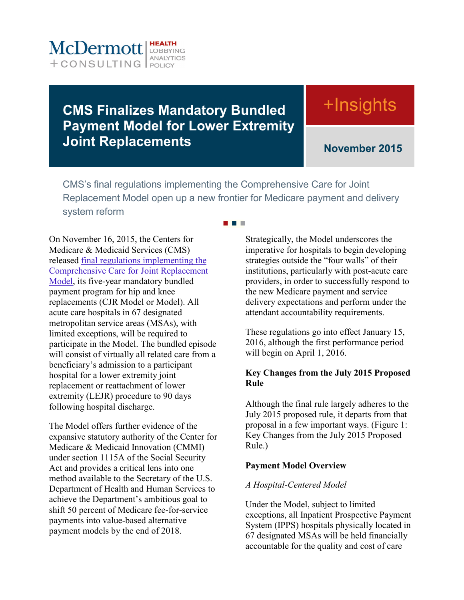

# **CMS Finalizes Mandatory Bundled Payment Model for Lower Extremity Joint Replacements**

# +Insights

**November 2015**

CMS's final regulations implementing the Comprehensive Care for Joint Replacement Model open up a new frontier for Medicare payment and delivery system reform

. . .

On November 16, 2015, the Centers for Medicare & Medicaid Services (CMS) released [final regulations implementing the](http://www.gpo.gov/fdsys/pkg/FR-2015-11-24/pdf/2015-29438.pdf)  [Comprehensive Care for Joint Replacement](http://www.gpo.gov/fdsys/pkg/FR-2015-11-24/pdf/2015-29438.pdf)  [Model,](http://www.gpo.gov/fdsys/pkg/FR-2015-11-24/pdf/2015-29438.pdf) its five-year mandatory bundled payment program for hip and knee replacements (CJR Model or Model). All acute care hospitals in 67 designated metropolitan service areas (MSAs), with limited exceptions, will be required to participate in the Model. The bundled episode will consist of virtually all related care from a beneficiary's admission to a participant hospital for a lower extremity joint replacement or reattachment of lower extremity (LEJR) procedure to 90 days following hospital discharge.

The Model offers further evidence of the expansive statutory authority of the Center for Medicare & Medicaid Innovation (CMMI) under section 1115A of the Social Security Act and provides a critical lens into one method available to the Secretary of the U.S. Department of Health and Human Services to achieve the Department's ambitious goal to shift 50 percent of Medicare fee-for-service payments into value-based alternative payment models by the end of 2018.

Strategically, the Model underscores the imperative for hospitals to begin developing strategies outside the "four walls" of their institutions, particularly with post-acute care providers, in order to successfully respond to the new Medicare payment and service delivery expectations and perform under the attendant accountability requirements.

These regulations go into effect January 15, 2016, although the first performance period will begin on April 1, 2016.

#### **Key Changes from the July 2015 Proposed Rule**

Although the final rule largely adheres to the July 2015 proposed rule, it departs from that proposal in a few important ways. [\(Figure 1:](#page-1-0)  [Key Changes from the July 2015 Proposed](#page-1-0)  [Rule.](#page-1-0))

#### **Payment Model Overview**

#### *A Hospital-Centered Model*

Under the Model, subject to limited exceptions, all Inpatient Prospective Payment System (IPPS) hospitals physically located in 67 designated MSAs will be held financially accountable for the quality and cost of care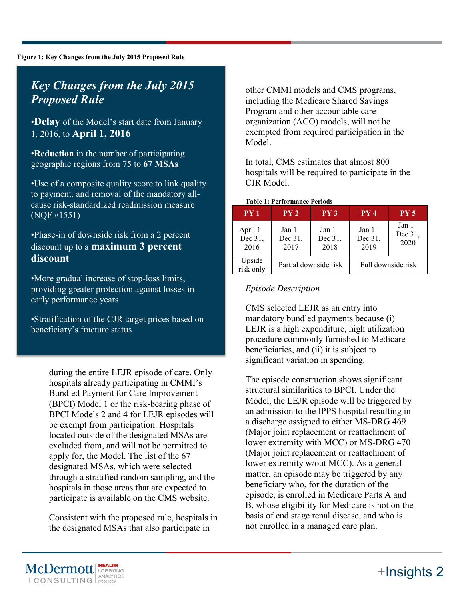#### <span id="page-1-0"></span>**Figure 1: Key Changes from the July 2015 Proposed Rule**

## *Key Changes from the July 2015 Proposed Rule*

•**Delay** of the Model's start date from January 1, 2016, to **April 1, 2016**

•**Reduction** in the number of participating geographic regions from 75 to **67 MSAs**

•Use of a composite quality score to link quality to payment, and removal of the mandatory allcause risk-standardized readmission measure (NQF #1551)

•Phase-in of downside risk from a 2 percent discount up to a **maximum 3 percent discount**

•More gradual increase of stop-loss limits, providing greater protection against losses in early performance years

•Stratification of the CJR target prices based on beneficiary's fracture status

> during the entire LEJR episode of care. Only hospitals already participating in CMMI's Bundled Payment for Care Improvement (BPCI) Model 1 or the risk-bearing phase of BPCI Models 2 and 4 for LEJR episodes will be exempt from participation. Hospitals located outside of the designated MSAs are excluded from, and will not be permitted to apply for, the Model. The list of the 67 designated MSAs, which were selected through a stratified random sampling, and the hospitals in those areas that are expected to participate is available on the CMS website.

Consistent with the proposed rule, hospitals in the designated MSAs that also participate in

other CMMI models and CMS programs, including the Medicare Shared Savings Program and other accountable care organization (ACO) models, will not be exempted from required participation in the Model.

In total, CMS estimates that almost 800 hospitals will be required to participate in the CJR Model.

#### **Table 1: Performance Periods**

| PY1                           | PY <sub>2</sub>             | PY3                         | PY4                         | PY <sub>5</sub>             |
|-------------------------------|-----------------------------|-----------------------------|-----------------------------|-----------------------------|
| April $1-$<br>Dec 31,<br>2016 | Jan $1-$<br>Dec 31,<br>2017 | Jan $1-$<br>Dec 31,<br>2018 | Jan $1-$<br>Dec 31,<br>2019 | Jan $1-$<br>Dec 31,<br>2020 |
| Upside<br>risk only           | Partial downside risk       |                             | Full downside risk          |                             |

#### *Episode Description*

CMS selected LEJR as an entry into mandatory bundled payments because (i) LEJR is a high expenditure, high utilization procedure commonly furnished to Medicare beneficiaries, and (ii) it is subject to significant variation in spending.

The episode construction shows significant structural similarities to BPCI. Under the Model, the LEJR episode will be triggered by an admission to the IPPS hospital resulting in a discharge assigned to either MS-DRG 469 (Major joint replacement or reattachment of lower extremity with MCC) or MS-DRG 470 (Major joint replacement or reattachment of lower extremity w/out MCC). As a general matter, an episode may be triggered by any beneficiary who, for the duration of the episode, is enrolled in Medicare Parts A and B, whose eligibility for Medicare is not on the basis of end stage renal disease, and who is not enrolled in a managed care plan.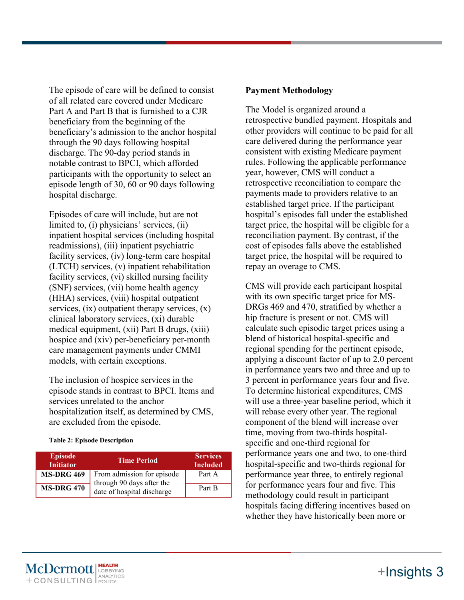The episode of care will be defined to consist of all related care covered under Medicare Part A and Part B that is furnished to a CJR beneficiary from the beginning of the beneficiary's admission to the anchor hospital through the 90 days following hospital discharge. The 90-day period stands in notable contrast to BPCI, which afforded participants with the opportunity to select an episode length of 30, 60 or 90 days following hospital discharge.

Episodes of care will include, but are not limited to, (i) physicians' services, (ii) inpatient hospital services (including hospital readmissions), (iii) inpatient psychiatric facility services, (iv) long-term care hospital (LTCH) services, (v) inpatient rehabilitation facility services, (vi) skilled nursing facility (SNF) services, (vii) home health agency (HHA) services, (viii) hospital outpatient services,  $(ix)$  outpatient therapy services,  $(x)$ clinical laboratory services, (xi) durable medical equipment, (xii) Part B drugs, (xiii) hospice and (xiv) per-beneficiary per-month care management payments under CMMI models, with certain exceptions.

The inclusion of hospice services in the episode stands in contrast to BPCI. Items and services unrelated to the anchor hospitalization itself, as determined by CMS, are excluded from the episode.

#### **Table 2: Episode Description**

| <b>Episode</b><br><b>Initiator</b> | <b>Time Period</b>                                      | <b>Services</b><br><b>Included</b> |
|------------------------------------|---------------------------------------------------------|------------------------------------|
| <b>MS-DRG 469</b>                  | From admission for episode<br>through 90 days after the | Part A                             |
| <b>MS-DRG 470</b>                  | date of hospital discharge                              | Part B                             |

#### **Payment Methodology**

The Model is organized around a retrospective bundled payment. Hospitals and other providers will continue to be paid for all care delivered during the performance year consistent with existing Medicare payment rules. Following the applicable performance year, however, CMS will conduct a retrospective reconciliation to compare the payments made to providers relative to an established target price. If the participant hospital's episodes fall under the established target price, the hospital will be eligible for a reconciliation payment. By contrast, if the cost of episodes falls above the established target price, the hospital will be required to repay an overage to CMS.

CMS will provide each participant hospital with its own specific target price for MS-DRGs 469 and 470, stratified by whether a hip fracture is present or not. CMS will calculate such episodic target prices using a blend of historical hospital-specific and regional spending for the pertinent episode, applying a discount factor of up to 2.0 percent in performance years two and three and up to 3 percent in performance years four and five. To determine historical expenditures, CMS will use a three-year baseline period, which it will rebase every other year. The regional component of the blend will increase over time, moving from two-thirds hospitalspecific and one-third regional for performance years one and two, to one-third hospital-specific and two-thirds regional for performance year three, to entirely regional for performance years four and five. This methodology could result in participant hospitals facing differing incentives based on whether they have historically been more or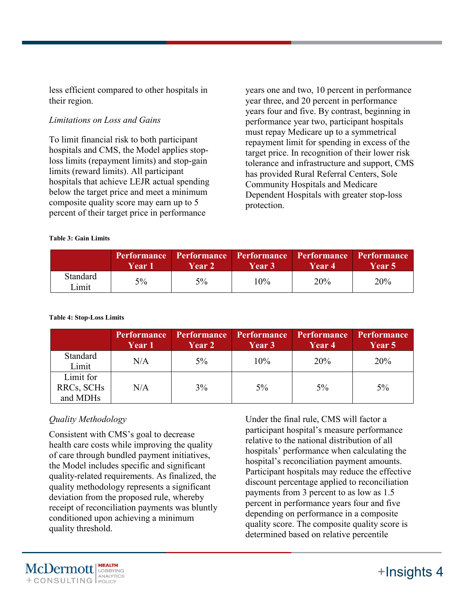less efficient compared to other hospitals in their region.

#### *Limitations on Loss and Gains*

To limit financial risk to both participant hospitals and CMS, the Model applies stoploss limits (repayment limits) and stop-gain limits (reward limits). All participant hospitals that achieve LEJR actual spending below the target price and meet a minimum composite quality score may earn up to 5 percent of their target price in performance

years one and two, 10 percent in performance year three, and 20 percent in performance years four and five. By contrast, beginning in performance year two, participant hospitals must repay Medicare up to a symmetrical repayment limit for spending in excess of the target price. In recognition of their lower risk tolerance and infrastructure and support, CMS has provided Rural Referral Centers, Sole Community Hospitals and Medicare Dependent Hospitals with greater stop-loss protection.

|                   | Year 1 | <b>Year 2</b> | Performance Performance Performance Performance Performance<br><b>Year 3</b> | Year 4 | Year 5 |
|-------------------|--------|---------------|------------------------------------------------------------------------------|--------|--------|
| Standard<br>Limit | $5\%$  | $5\%$         | 10%                                                                          | 20%    | 20%    |

#### **Table 3: Gain Limits**

#### **Table 4: Stop-Loss Limits**

|                                     | <b>Performance</b><br><b>Year 1</b> | <b>Performance</b><br><b>Year 2</b> | Performance<br>Year 3 | <b>Performance</b><br>Year 4 | <b>Performance</b><br><b>Year 5</b> |
|-------------------------------------|-------------------------------------|-------------------------------------|-----------------------|------------------------------|-------------------------------------|
| Standard<br>Limit                   | N/A                                 | $5\%$                               | 10%                   | 20%                          | 20%                                 |
| Limit for<br>RRCs, SCHs<br>and MDHs | N/A                                 | 3%                                  | 5%                    | $5\%$                        | $5\%$                               |

### *Quality Methodology*

Consistent with CMS's goal to decrease health care costs while improving the quality of care through bundled payment initiatives, the Model includes specific and significant quality-related requirements. As finalized, the quality methodology represents a significant deviation from the proposed rule, whereby receipt of reconciliation payments was bluntly conditioned upon achieving a minimum quality threshold.

Under the final rule, CMS will factor a participant hospital's measure performance relative to the national distribution of all hospitals' performance when calculating the hospital's reconciliation payment amounts. Participant hospitals may reduce the effective discount percentage applied to reconciliation payments from 3 percent to as low as 1.5 percent in performance years four and five depending on performance in a composite quality score. The composite quality score is determined based on relative percentile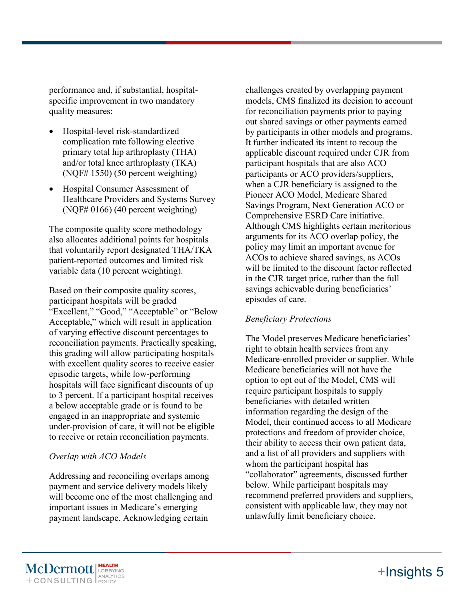performance and, if substantial, hospitalspecific improvement in two mandatory quality measures:

- Hospital-level risk-standardized complication rate following elective primary total hip arthroplasty (THA) and/or total knee arthroplasty (TKA) (NQF# 1550) (50 percent weighting)
- Hospital Consumer Assessment of Healthcare Providers and Systems Survey (NQF# 0166) (40 percent weighting)

The composite quality score methodology also allocates additional points for hospitals that voluntarily report designated THA/TKA patient-reported outcomes and limited risk variable data (10 percent weighting).

Based on their composite quality scores, participant hospitals will be graded "Excellent," "Good," "Acceptable" or "Below Acceptable," which will result in application of varying effective discount percentages to reconciliation payments. Practically speaking, this grading will allow participating hospitals with excellent quality scores to receive easier episodic targets, while low-performing hospitals will face significant discounts of up to 3 percent. If a participant hospital receives a below acceptable grade or is found to be engaged in an inappropriate and systemic under-provision of care, it will not be eligible to receive or retain reconciliation payments.

#### *Overlap with ACO Models*

Addressing and reconciling overlaps among payment and service delivery models likely will become one of the most challenging and important issues in Medicare's emerging payment landscape. Acknowledging certain

challenges created by overlapping payment models, CMS finalized its decision to account for reconciliation payments prior to paying out shared savings or other payments earned by participants in other models and programs. It further indicated its intent to recoup the applicable discount required under CJR from participant hospitals that are also ACO participants or ACO providers/suppliers, when a CJR beneficiary is assigned to the Pioneer ACO Model, Medicare Shared Savings Program, Next Generation ACO or Comprehensive ESRD Care initiative. Although CMS highlights certain meritorious arguments for its ACO overlap policy, the policy may limit an important avenue for ACOs to achieve shared savings, as ACOs will be limited to the discount factor reflected in the CJR target price, rather than the full savings achievable during beneficiaries' episodes of care.

#### *Beneficiary Protections*

The Model preserves Medicare beneficiaries' right to obtain health services from any Medicare-enrolled provider or supplier. While Medicare beneficiaries will not have the option to opt out of the Model, CMS will require participant hospitals to supply beneficiaries with detailed written information regarding the design of the Model, their continued access to all Medicare protections and freedom of provider choice, their ability to access their own patient data, and a list of all providers and suppliers with whom the participant hospital has "collaborator" agreements, discussed further below. While participant hospitals may recommend preferred providers and suppliers, consistent with applicable law, they may not unlawfully limit beneficiary choice.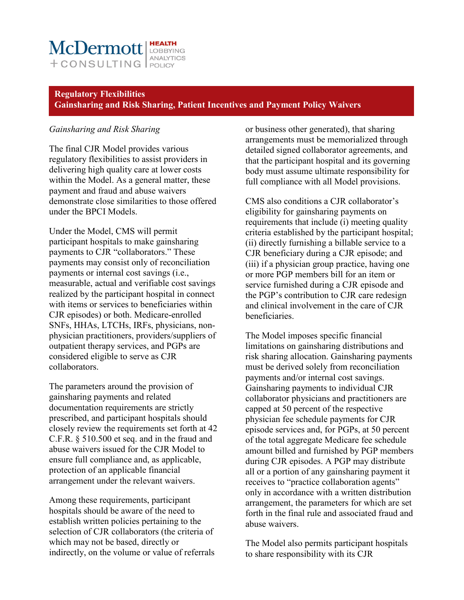### McDermott LOBBYING ANALYTICS  $+$  CONSULTING  $\int_{POL(C)}^{AVALU}$

#### **Regulatory Flexibilities Gainsharing and Risk Sharing, Patient Incentives and Payment Policy Waivers**

#### *Gainsharing and Risk Sharing*

The final CJR Model provides various regulatory flexibilities to assist providers in delivering high quality care at lower costs within the Model. As a general matter, these payment and fraud and abuse waivers demonstrate close similarities to those offered under the BPCI Models.

Under the Model, CMS will permit participant hospitals to make gainsharing payments to CJR "collaborators." These payments may consist only of reconciliation payments or internal cost savings (i.e., measurable, actual and verifiable cost savings realized by the participant hospital in connect with items or services to beneficiaries within CJR episodes) or both. Medicare-enrolled SNFs, HHAs, LTCHs, IRFs, physicians, nonphysician practitioners, providers/suppliers of outpatient therapy services, and PGPs are considered eligible to serve as CJR collaborators.

The parameters around the provision of gainsharing payments and related documentation requirements are strictly prescribed, and participant hospitals should closely review the requirements set forth at 42 C.F.R. § 510.500 et seq. and in the fraud and abuse waivers issued for the CJR Model to ensure full compliance and, as applicable, protection of an applicable financial arrangement under the relevant waivers.

Among these requirements, participant hospitals should be aware of the need to establish written policies pertaining to the selection of CJR collaborators (the criteria of which may not be based, directly or indirectly, on the volume or value of referrals or business other generated), that sharing arrangements must be memorialized through detailed signed collaborator agreements, and that the participant hospital and its governing body must assume ultimate responsibility for full compliance with all Model provisions.

CMS also conditions a CJR collaborator's eligibility for gainsharing payments on requirements that include (i) meeting quality criteria established by the participant hospital; (ii) directly furnishing a billable service to a CJR beneficiary during a CJR episode; and (iii) if a physician group practice, having one or more PGP members bill for an item or service furnished during a CJR episode and the PGP's contribution to CJR care redesign and clinical involvement in the care of CJR beneficiaries.

The Model imposes specific financial limitations on gainsharing distributions and risk sharing allocation. Gainsharing payments must be derived solely from reconciliation payments and/or internal cost savings. Gainsharing payments to individual CJR collaborator physicians and practitioners are capped at 50 percent of the respective physician fee schedule payments for CJR episode services and, for PGPs, at 50 percent of the total aggregate Medicare fee schedule amount billed and furnished by PGP members during CJR episodes. A PGP may distribute all or a portion of any gainsharing payment it receives to "practice collaboration agents" only in accordance with a written distribution arrangement, the parameters for which are set forth in the final rule and associated fraud and abuse waivers.

The Model also permits participant hospitals to share responsibility with its CJR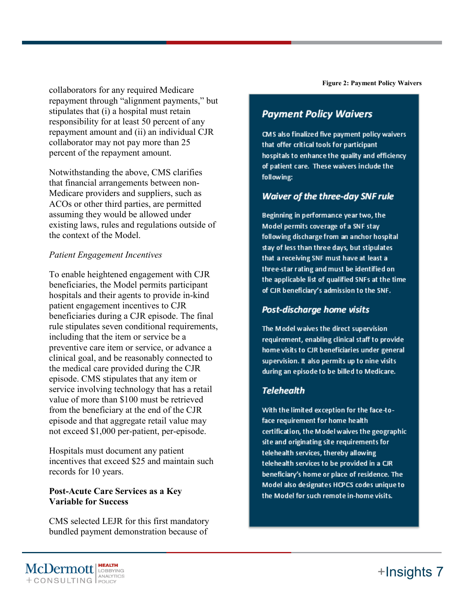collaborators for any required Medicare repayment through "alignment payments," but stipulates that (i) a hospital must retain responsibility for at least 50 percent of any repayment amount and (ii) an individual CJR collaborator may not pay more than 25 percent of the repayment amount.

Notwithstanding the above, CMS clarifies that financial arrangements between non-Medicare providers and suppliers, such as ACOs or other third parties, are permitted assuming they would be allowed under existing laws, rules and regulations outside of the context of the Model.

#### *Patient Engagement Incentives*

To enable heightened engagement with CJR beneficiaries, the Model permits participant hospitals and their agents to provide in-kind patient engagement incentives to CJR beneficiaries during a CJR episode. The final rule stipulates seven conditional requirements, including that the item or service be a preventive care item or service, or advance a clinical goal, and be reasonably connected to the medical care provided during the CJR episode. CMS stipulates that any item or service involving technology that has a retail value of more than \$100 must be retrieved from the beneficiary at the end of the CJR episode and that aggregate retail value may not exceed \$1,000 per-patient, per-episode.

Hospitals must document any patient incentives that exceed \$25 and maintain such records for 10 years.

#### **Post-Acute Care Services as a Key Variable for Success**

CMS selected LEJR for this first mandatory bundled payment demonstration because of

**Figure 2: Payment Policy Waivers**

### **Payment Policy Waivers**

CMS also finalized five payment policy waivers that offer critical tools for participant hospitals to enhance the quality and efficiency of patient care. These waivers include the following:

#### **Waiver of the three-day SNF rule**

Beginning in performance year two, the Model permits coverage of a SNF stay following discharge from an anchor hospital stay of less than three days, but stipulates that a receiving SNF must have at least a three-star rating and must be identified on the applicable list of qualified SNFs at the time of CJR beneficiary's admission to the SNF.

### Post-discharge home visits

The Model waives the direct supervision requirement, enabling clinical staff to provide home visits to CJR beneficiaries under general supervision. It also permits up to nine visits during an episode to be billed to Medicare.

### **Telehealth**

With the limited exception for the face-toface requirement for home health certification, the Model waives the geographic site and originating site requirements for telehealth services, thereby allowing telehealth services to be provided in a CJR beneficiary's home or place of residence. The Model also designates HCPCS codes unique to the Model for such remote in-home visits.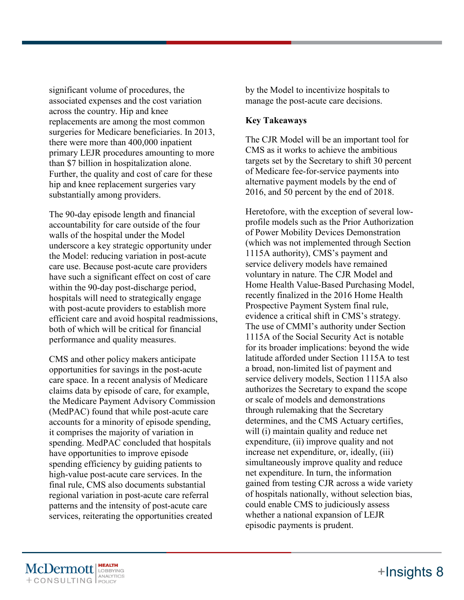significant volume of procedures, the associated expenses and the cost variation across the country. Hip and knee replacements are among the most common surgeries for Medicare beneficiaries. In 2013, there were more than 400,000 inpatient primary LEJR procedures amounting to more than \$7 billion in hospitalization alone. Further, the quality and cost of care for these hip and knee replacement surgeries vary substantially among providers.

The 90-day episode length and financial accountability for care outside of the four walls of the hospital under the Model underscore a key strategic opportunity under the Model: reducing variation in post-acute care use. Because post-acute care providers have such a significant effect on cost of care within the 90-day post-discharge period, hospitals will need to strategically engage with post-acute providers to establish more efficient care and avoid hospital readmissions, both of which will be critical for financial performance and quality measures.

CMS and other policy makers anticipate opportunities for savings in the post-acute care space. In a recent analysis of Medicare claims data by episode of care, for example, the Medicare Payment Advisory Commission (MedPAC) found that while post-acute care accounts for a minority of episode spending, it comprises the majority of variation in spending. MedPAC concluded that hospitals have opportunities to improve episode spending efficiency by guiding patients to high-value post-acute care services. In the final rule, CMS also documents substantial regional variation in post-acute care referral patterns and the intensity of post-acute care services, reiterating the opportunities created

by the Model to incentivize hospitals to manage the post-acute care decisions.

#### **Key Takeaways**

The CJR Model will be an important tool for CMS as it works to achieve the ambitious targets set by the Secretary to shift 30 percent of Medicare fee-for-service payments into alternative payment models by the end of 2016, and 50 percent by the end of 2018.

Heretofore, with the exception of several lowprofile models such as the Prior Authorization of Power Mobility Devices Demonstration (which was not implemented through Section 1115A authority), CMS's payment and service delivery models have remained voluntary in nature. The CJR Model and Home Health Value-Based Purchasing Model, recently finalized in the 2016 Home Health Prospective Payment System final rule, evidence a critical shift in CMS's strategy. The use of CMMI's authority under Section 1115A of the Social Security Act is notable for its broader implications: beyond the wide latitude afforded under Section 1115A to test a broad, non-limited list of payment and service delivery models, Section 1115A also authorizes the Secretary to expand the scope or scale of models and demonstrations through rulemaking that the Secretary determines, and the CMS Actuary certifies, will (i) maintain quality and reduce net expenditure, (ii) improve quality and not increase net expenditure, or, ideally, (iii) simultaneously improve quality and reduce net expenditure. In turn, the information gained from testing CJR across a wide variety of hospitals nationally, without selection bias, could enable CMS to judiciously assess whether a national expansion of LEJR episodic payments is prudent.